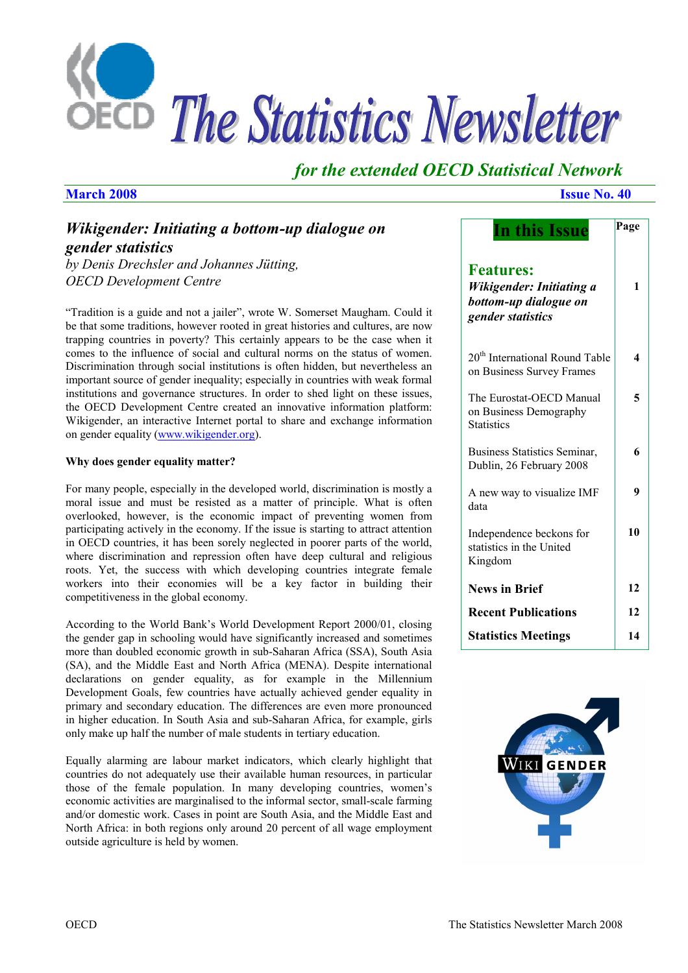

## *for the extended OECD Statistical Network*

## *Wikigender: Initiating a bottom-up dialogue on gender statistics*

*by Denis Drechsler and Johannes Jütting, OECD Development Centre* 

"Tradition is a guide and not a jailer", wrote W. Somerset Maugham. Could it be that some traditions, however rooted in great histories and cultures, are now trapping countries in poverty? This certainly appears to be the case when it comes to the influence of social and cultural norms on the status of women. Discrimination through social institutions is often hidden, but nevertheless an important source of gender inequality; especially in countries with weak formal institutions and governance structures. In order to shed light on these issues, the OECD Development Centre created an innovative information platform: Wikigender, an interactive Internet portal to share and exchange information on gender equality (www.wikigender.org).

#### **Why does gender equality matter?**

For many people, especially in the developed world, discrimination is mostly a moral issue and must be resisted as a matter of principle. What is often overlooked, however, is the economic impact of preventing women from participating actively in the economy. If the issue is starting to attract attention in OECD countries, it has been sorely neglected in poorer parts of the world, where discrimination and repression often have deep cultural and religious roots. Yet, the success with which developing countries integrate female workers into their economies will be a key factor in building their competitiveness in the global economy.

According to the World Bank's World Development Report 2000/01, closing the gender gap in schooling would have significantly increased and sometimes more than doubled economic growth in sub-Saharan Africa (SSA), South Asia (SA), and the Middle East and North Africa (MENA). Despite international declarations on gender equality, as for example in the Millennium Development Goals, few countries have actually achieved gender equality in primary and secondary education. The differences are even more pronounced in higher education. In South Asia and sub-Saharan Africa, for example, girls only make up half the number of male students in tertiary education.

Equally alarming are labour market indicators, which clearly highlight that countries do not adequately use their available human resources, in particular those of the female population. In many developing countries, women's economic activities are marginalised to the informal sector, small-scale farming and/or domestic work. Cases in point are South Asia, and the Middle East and North Africa: in both regions only around 20 percent of all wage employment outside agriculture is held by women.

#### **March 2008** Issue No. 40

| In this Issue                                                                                     | Page |
|---------------------------------------------------------------------------------------------------|------|
| <b>Features:</b><br><b>Wikigender: Initiating a</b><br>bottom-up dialogue on<br>gender statistics | 1    |
| 20 <sup>th</sup> International Round Table<br>on Business Survey Frames                           | 4    |
| The Eurostat-OECD Manual<br>on Business Demography<br><b>Statistics</b>                           | 5    |
| <b>Business Statistics Seminar,</b><br>Dublin, 26 February 2008                                   | 6    |
| A new way to visualize IMF<br>data                                                                | 9    |
| Independence beckons for<br>statistics in the United<br>Kingdom                                   | 10   |
| <b>News in Brief</b>                                                                              | 12   |
| <b>Recent Publications</b>                                                                        | 12   |
| <b>Statistics Meetings</b>                                                                        | 14   |
|                                                                                                   |      |

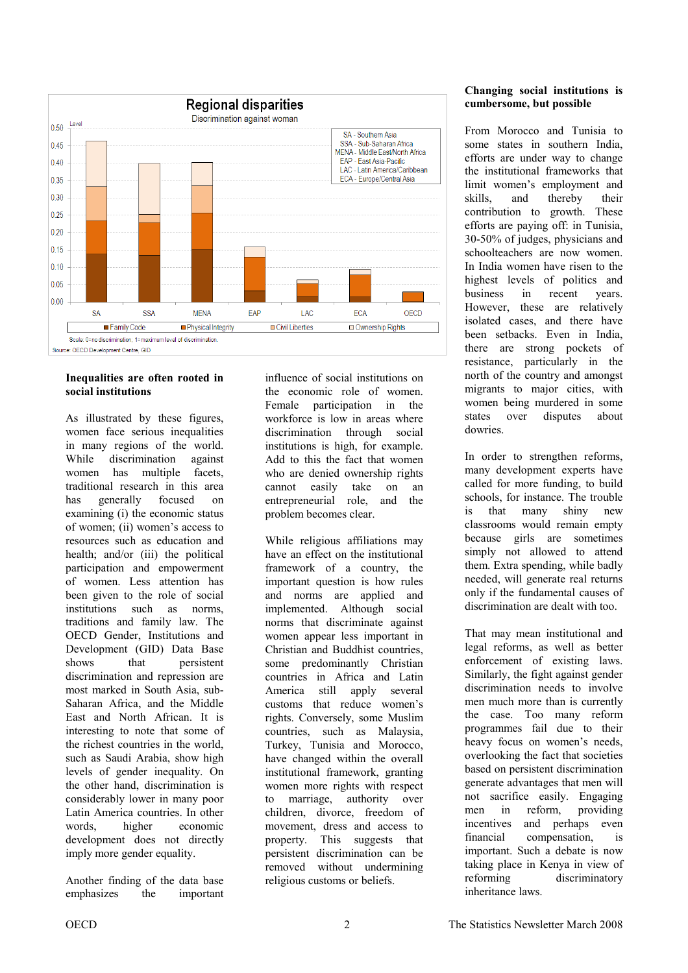

#### **Inequalities are often rooted in social institutions**

As illustrated by these figures, women face serious inequalities in many regions of the world. While discrimination against women has multiple facets, traditional research in this area has generally focused on examining (i) the economic status of women; (ii) women's access to resources such as education and health; and/or (iii) the political participation and empowerment of women. Less attention has been given to the role of social institutions such as norms, traditions and family law. The OECD Gender, Institutions and Development (GID) Data Base shows that persistent discrimination and repression are most marked in South Asia, sub-Saharan Africa, and the Middle East and North African. It is interesting to note that some of the richest countries in the world, such as Saudi Arabia, show high levels of gender inequality. On the other hand, discrimination is considerably lower in many poor Latin America countries. In other words, higher economic development does not directly imply more gender equality.

Another finding of the data base emphasizes the important influence of social institutions on the economic role of women. Female participation in the workforce is low in areas where discrimination through social institutions is high, for example. Add to this the fact that women who are denied ownership rights cannot easily take on an entrepreneurial role, and the problem becomes clear.

While religious affiliations may have an effect on the institutional framework of a country, the important question is how rules and norms are applied and implemented. Although social norms that discriminate against women appear less important in Christian and Buddhist countries, some predominantly Christian countries in Africa and Latin America still apply several customs that reduce women's rights. Conversely, some Muslim countries, such as Malaysia, Turkey, Tunisia and Morocco, have changed within the overall institutional framework, granting women more rights with respect to marriage, authority over children, divorce, freedom of movement, dress and access to property. This suggests that persistent discrimination can be removed without undermining religious customs or beliefs.

### **Changing social institutions is cumbersome, but possible**

From Morocco and Tunisia to some states in southern India, efforts are under way to change the institutional frameworks that limit women's employment and skills, and thereby their contribution to growth. These efforts are paying off: in Tunisia, 30-50% of judges, physicians and schoolteachers are now women. In India women have risen to the highest levels of politics and business in recent years. However, these are relatively isolated cases, and there have been setbacks. Even in India, there are strong pockets of resistance, particularly in the north of the country and amongst migrants to major cities, with women being murdered in some states over disputes about dowries.

In order to strengthen reforms, many development experts have called for more funding, to build schools, for instance. The trouble is that many shiny new classrooms would remain empty because girls are sometimes simply not allowed to attend them. Extra spending, while badly needed, will generate real returns only if the fundamental causes of discrimination are dealt with too.

That may mean institutional and legal reforms, as well as better enforcement of existing laws. Similarly, the fight against gender discrimination needs to involve men much more than is currently the case. Too many reform programmes fail due to their heavy focus on women's needs, overlooking the fact that societies based on persistent discrimination generate advantages that men will not sacrifice easily. Engaging men in reform, providing incentives and perhaps even financial compensation, is important. Such a debate is now taking place in Kenya in view of reforming discriminatory inheritance laws.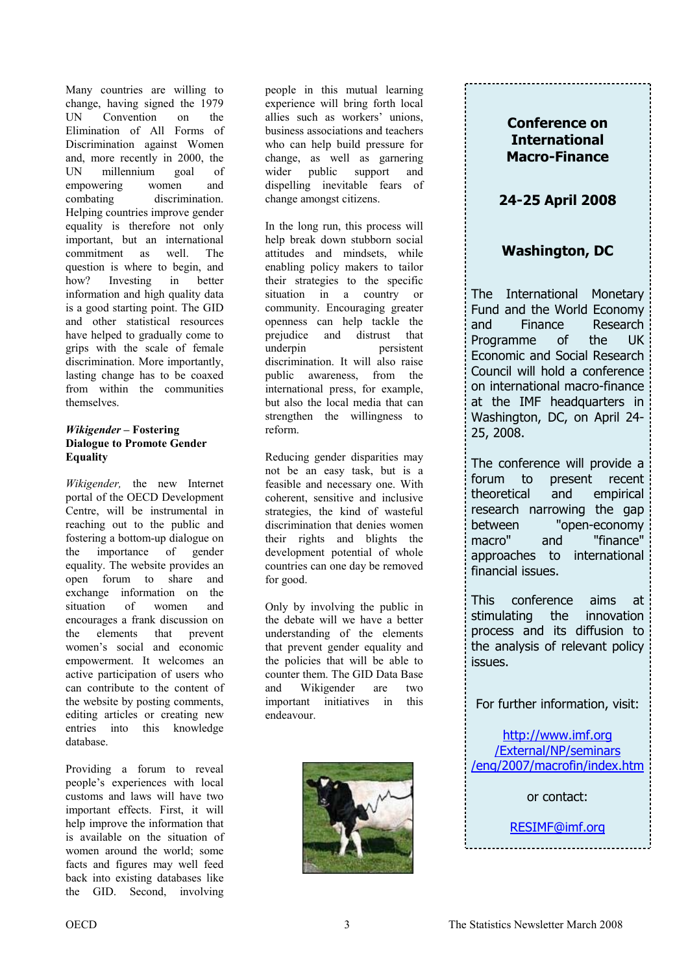Many countries are willing to change, having signed the 1979 UN Convention on the Elimination of All Forms of Discrimination against Women and, more recently in 2000, the UN millennium goal of empowering women and combating discrimination. Helping countries improve gender equality is therefore not only important, but an international commitment as well. The question is where to begin, and how? Investing in better information and high quality data is a good starting point. The GID and other statistical resources have helped to gradually come to grips with the scale of female discrimination. More importantly, lasting change has to be coaxed from within the communities themselves.

#### *Wikigender* **– Fostering Dialogue to Promote Gender Equality**

*Wikigender,* the new Internet portal of the OECD Development Centre, will be instrumental in reaching out to the public and fostering a bottom-up dialogue on the importance of gender equality. The website provides an open forum to share and exchange information on the situation of women and encourages a frank discussion on the elements that prevent women's social and economic empowerment. It welcomes an active participation of users who can contribute to the content of the website by posting comments, editing articles or creating new entries into this knowledge database.

Providing a forum to reveal people's experiences with local customs and laws will have two important effects. First, it will help improve the information that is available on the situation of women around the world; some facts and figures may well feed back into existing databases like the GID. Second, involving

people in this mutual learning experience will bring forth local allies such as workers' unions, business associations and teachers who can help build pressure for change, as well as garnering wider public support and dispelling inevitable fears of change amongst citizens.

In the long run, this process will help break down stubborn social attitudes and mindsets, while enabling policy makers to tailor their strategies to the specific situation in a country or community. Encouraging greater openness can help tackle the prejudice and distrust that underpin persistent discrimination. It will also raise public awareness, from the international press, for example, but also the local media that can strengthen the willingness to reform.

Reducing gender disparities may not be an easy task, but is a feasible and necessary one. With coherent, sensitive and inclusive strategies, the kind of wasteful discrimination that denies women their rights and blights the development potential of whole countries can one day be removed for good.

Only by involving the public in the debate will we have a better understanding of the elements that prevent gender equality and the policies that will be able to counter them. The GID Data Base and Wikigender are two important initiatives in this endeavour.



### **Conference on International Macro-Finance**

## **24-25 April 2008**

## **Washington, DC**

The International Monetary Fund and the World Economy and Finance Research Programme of the UK Economic and Social Research Council will hold a conference on international macro-finance at the IMF headquarters in Washington, DC, on April 24- 25, 2008.

The conference will provide a forum to present recent theoretical and empirical research narrowing the gap between "open-economy macro" and "finance" approaches to international financial issues.

This conference aims at stimulating the innovation process and its diffusion to the analysis of relevant policy issues.

For further information, visit:

http://www.imf.org /External/NP/seminars [/eng/2007/macrofin/index.htm](http://www.imf.org/external/np/seminars/eng/2007/macrofin/index.htm)

or contact:

[RESIMF@imf.org](mailto:resimf@imf.org)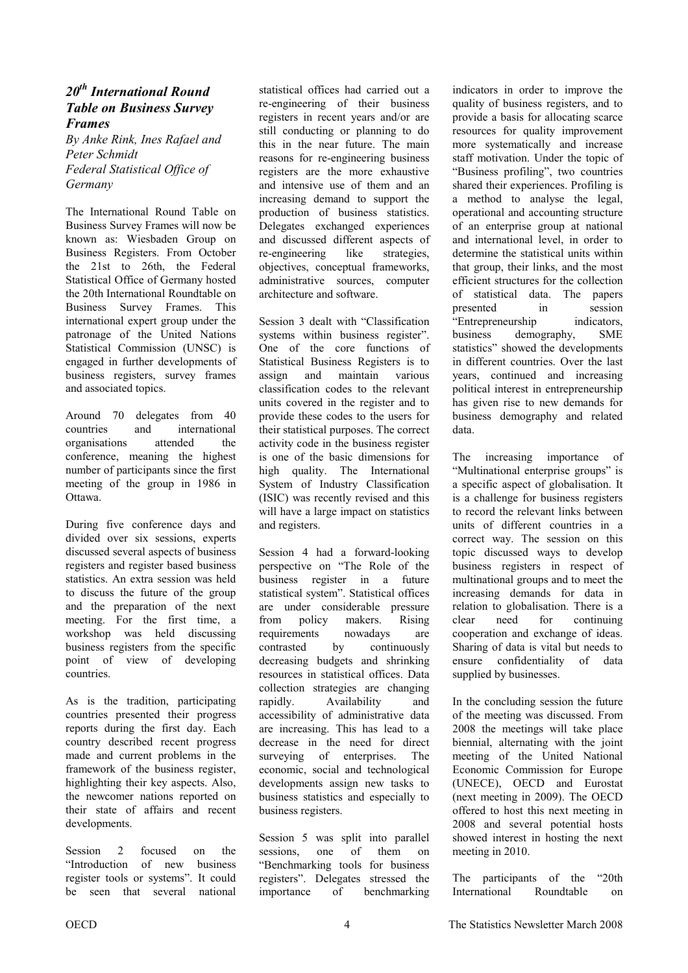### <span id="page-3-0"></span>*20th International Round Table on Business Survey Frames*

*By Anke Rink, Ines Rafael and Peter Schmidt Federal Statistical Office of Germany* 

The International Round Table on Business Survey Frames will now be known as: Wiesbaden Group on Business Registers. From October the 21st to 26th, the Federal Statistical Office of Germany hosted the 20th International Roundtable on Business Survey Frames. This international expert group under the patronage of the United Nations Statistical Commission (UNSC) is engaged in further developments of business registers, survey frames and associated topics.

Around 70 delegates from 40 countries and international organisations attended the conference, meaning the highest number of participants since the first meeting of the group in 1986 in Ottawa.

During five conference days and divided over six sessions, experts discussed several aspects of business registers and register based business statistics. An extra session was held to discuss the future of the group and the preparation of the next meeting. For the first time, a workshop was held discussing business registers from the specific point of view of developing countries.

As is the tradition, participating countries presented their progress reports during the first day. Each country described recent progress made and current problems in the framework of the business register, highlighting their key aspects. Also, the newcomer nations reported on their state of affairs and recent developments.

Session 2 focused on the "Introduction of new business register tools or systems". It could be seen that several national

statistical offices had carried out a re-engineering of their business registers in recent years and/or are still conducting or planning to do this in the near future. The main reasons for re-engineering business registers are the more exhaustive and intensive use of them and an increasing demand to support the production of business statistics. Delegates exchanged experiences and discussed different aspects of re-engineering like strategies, objectives, conceptual frameworks, administrative sources, computer architecture and software.

Session 3 dealt with "Classification systems within business register". One of the core functions of Statistical Business Registers is to assign and maintain various classification codes to the relevant units covered in the register and to provide these codes to the users for their statistical purposes. The correct activity code in the business register is one of the basic dimensions for high quality. The International System of Industry Classification (ISIC) was recently revised and this will have a large impact on statistics and registers.

Session 4 had a forward-looking perspective on "The Role of the business register in a future statistical system". Statistical offices are under considerable pressure from policy makers. Rising requirements nowadays are contrasted by continuously decreasing budgets and shrinking resources in statistical offices. Data collection strategies are changing rapidly. Availability and accessibility of administrative data are increasing. This has lead to a decrease in the need for direct surveying of enterprises. The economic, social and technological developments assign new tasks to business statistics and especially to business registers.

Session 5 was split into parallel sessions, one of them on "Benchmarking tools for business registers". Delegates stressed the importance of benchmarking indicators in order to improve the quality of business registers, and to provide a basis for allocating scarce resources for quality improvement more systematically and increase staff motivation. Under the topic of "Business profiling", two countries shared their experiences. Profiling is a method to analyse the legal, operational and accounting structure of an enterprise group at national and international level, in order to determine the statistical units within that group, their links, and the most efficient structures for the collection of statistical data. The papers presented in session "Entrepreneurship indicators, business demography, SME statistics" showed the developments in different countries. Over the last years, continued and increasing political interest in entrepreneurship has given rise to new demands for business demography and related data.

The increasing importance of "Multinational enterprise groups" is a specific aspect of globalisation. It is a challenge for business registers to record the relevant links between units of different countries in a correct way. The session on this topic discussed ways to develop business registers in respect of multinational groups and to meet the increasing demands for data in relation to globalisation. There is a clear need for continuing cooperation and exchange of ideas. Sharing of data is vital but needs to ensure confidentiality of data supplied by businesses.

In the concluding session the future of the meeting was discussed. From 2008 the meetings will take place biennial, alternating with the joint meeting of the United National Economic Commission for Europe (UNECE), OECD and Eurostat (next meeting in 2009). The OECD offered to host this next meeting in 2008 and several potential hosts showed interest in hosting the next meeting in 2010.

The participants of the "20th International Roundtable on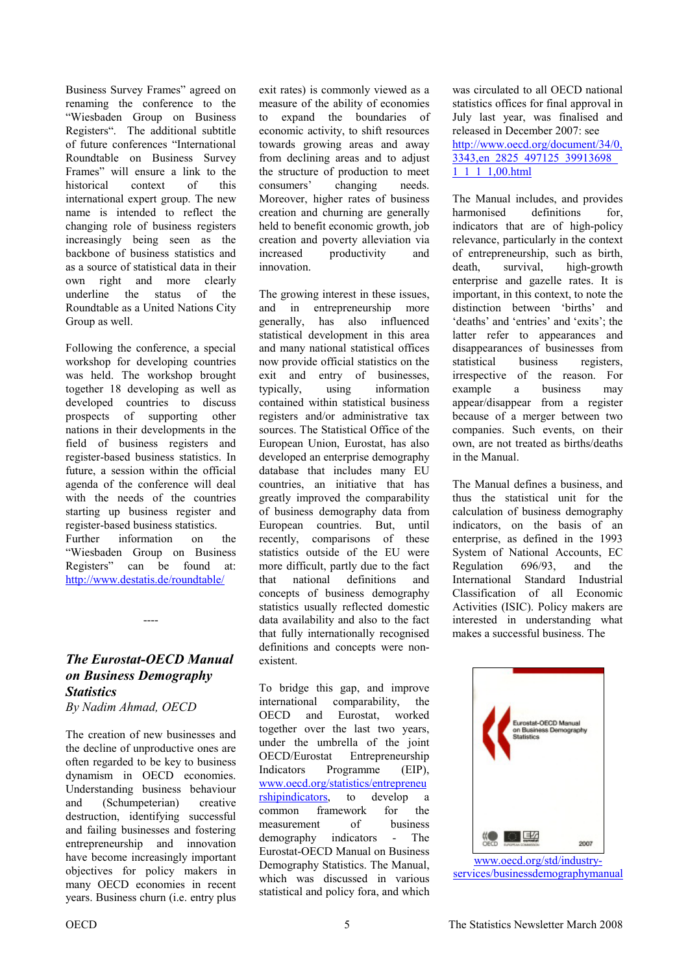Business Survey Frames" agreed on renaming the conference to the "Wiesbaden Group on Business Registers". The additional subtitle of future conferences "International Roundtable on Business Survey Frames" will ensure a link to the historical context of this international expert group. The new name is intended to reflect the changing role of business registers increasingly being seen as the backbone of business statistics and as a source of statistical data in their own right and more clearly underline the status of the Roundtable as a United Nations City Group as well.

Following the conference, a special workshop for developing countries was held. The workshop brought together 18 developing as well as developed countries to discuss prospects of supporting other nations in their developments in the field of business registers and register-based business statistics. In future, a session within the official agenda of the conference will deal with the needs of the countries starting up business register and register-based business statistics. Further information on the "Wiesbaden Group on Business Registers" can be found at: http://www.destatis.de/roundtable/

*The Eurostat-OECD Manual on Business Demography Statistics* 

----

*By Nadim Ahmad, OECD* 

The creation of new businesses and the decline of unproductive ones are often regarded to be key to business dynamism in OECD economies. Understanding business behaviour and (Schumpeterian) creative destruction, identifying successful and failing businesses and fostering entrepreneurship and innovation have become increasingly important objectives for policy makers in many OECD economies in recent years. Business churn (i.e. entry plus

exit rates) is commonly viewed as a measure of the ability of economies to expand the boundaries of economic activity, to shift resources towards growing areas and away from declining areas and to adjust the structure of production to meet consumers' changing needs. Moreover, higher rates of business creation and churning are generally held to benefit economic growth, job creation and poverty alleviation via increased productivity and innovation.

The growing interest in these issues, and in entrepreneurship more generally, has also influenced statistical development in this area and many national statistical offices now provide official statistics on the exit and entry of businesses, typically, using information contained within statistical business registers and/or administrative tax sources. The Statistical Office of the European Union, Eurostat, has also developed an enterprise demography database that includes many EU countries, an initiative that has greatly improved the comparability of business demography data from European countries. But, until recently, comparisons of these statistics outside of the EU were more difficult, partly due to the fact that national definitions and concepts of business demography statistics usually reflected domestic data availability and also to the fact that fully internationally recognised definitions and concepts were nonexistent.

To bridge this gap, and improve international comparability, the OECD and Eurostat, worked together over the last two years, under the umbrella of the joint OECD/Eurostat Entrepreneurship Indicators Programme (EIP), [www.oecd.org/statistics/entrepreneu](www.oecd.org/statistics/entrepreneurshipindicators) [rshipindicators,](www.oecd.org/statistics/entrepreneurshipindicators) to develop a common framework for the measurement of business demography indicators - The Eurostat-OECD Manual on Business Demography Statistics. The Manual, which was discussed in various statistical and policy fora, and which

was circulated to all OECD national statistics offices for final approval in July last year, was finalised and released in December 2007: see [http://www.oecd.org/document/34/0,](http://www.oecd.org/document/34/0,3343,en_2825_497125_39913698_1_1_1_1,00.html) 3343,en\_2825\_497125\_39913698\_ 1\_1\_1\_1,00.html

The Manual includes, and provides harmonised definitions for indicators that are of high-policy relevance, particularly in the context of entrepreneurship, such as birth, death, survival, high-growth enterprise and gazelle rates. It is important, in this context, to note the distinction between 'births' and 'deaths' and 'entries' and 'exits'; the latter refer to appearances and disappearances of businesses from statistical business registers, irrespective of the reason. For example a business may appear/disappear from a register because of a merger between two companies. Such events, on their own, are not treated as births/deaths in the Manual.

The Manual defines a business, and thus the statistical unit for the calculation of business demography indicators, on the basis of an enterprise, as defined in the 1993 System of National Accounts, EC Regulation 696/93 and the International Standard Industrial Classification of all Economic Activities (ISIC). Policy makers are interested in understanding what makes a successful business. The

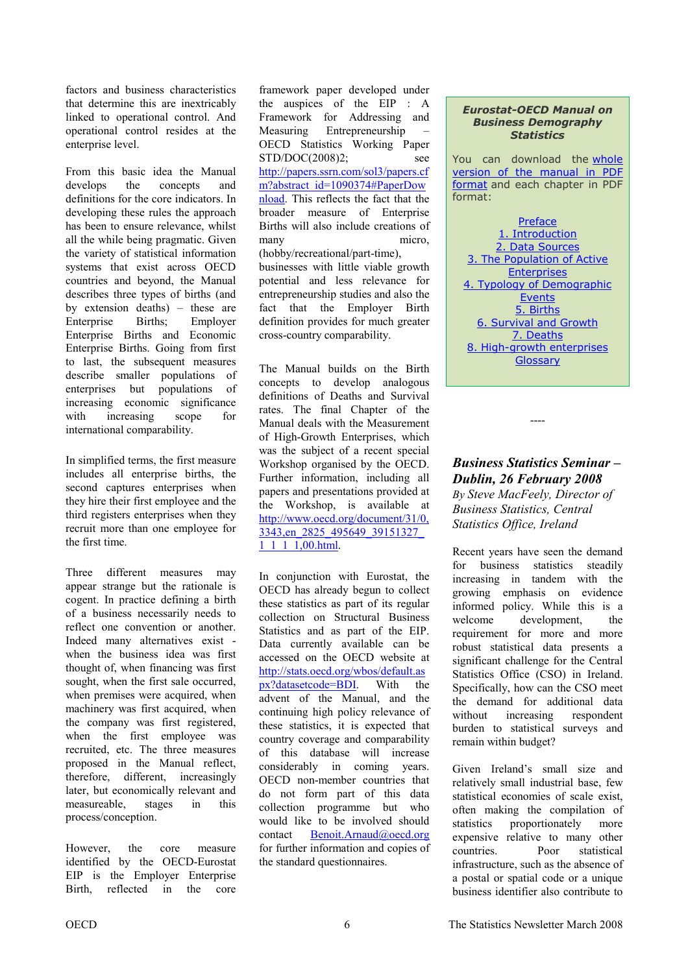factors and business characteristics that determine this are inextricably linked to operational control. And operational control resides at the enterprise level.

From this basic idea the Manual develops the concepts and definitions for the core indicators. In developing these rules the approach has been to ensure relevance, whilst all the while being pragmatic. Given the variety of statistical information systems that exist across OECD countries and beyond, the Manual describes three types of births (and by extension deaths) – these are Enterprise Births; Employer Enterprise Births and Economic Enterprise Births. Going from first to last, the subsequent measures describe smaller populations of enterprises but populations of increasing economic significance with increasing scope for international comparability.

In simplified terms, the first measure includes all enterprise births, the second captures enterprises when they hire their first employee and the third registers enterprises when they recruit more than one employee for the first time.

Three different measures may appear strange but the rationale is cogent. In practice defining a birth of a business necessarily needs to reflect one convention or another. Indeed many alternatives exist when the business idea was first thought of, when financing was first sought, when the first sale occurred, when premises were acquired, when machinery was first acquired, when the company was first registered, when the first employee was recruited, etc. The three measures proposed in the Manual reflect, therefore, different, increasingly later, but economically relevant and measureable, stages in this process/conception.

However, the core measure identified by the OECD-Eurostat EIP is the Employer Enterprise Birth, reflected in the core

framework paper developed under the auspices of the EIP : A Framework for Addressing and Measuring Entrepreneurship – OECD Statistics Working Paper STD/DOC(2008)2; see [http://papers.ssrn.com/sol3/papers.cf](http://papers.ssrn.com/sol3/papers.cfm?abstract_id=1090374#PaperDownload) m?abstract\_id=1090374#PaperDow [nload.](http://papers.ssrn.com/sol3/papers.cfm?abstract_id=1090374#PaperDownload) This reflects the fact that the broader measure of Enterprise Births will also include creations of many micro, (hobby/recreational/part-time), businesses with little viable growth potential and less relevance for entrepreneurship studies and also the fact that the Employer Birth definition provides for much greater cross-country comparability.

The Manual builds on the Birth concepts to develop analogous definitions of Deaths and Survival rates. The final Chapter of the Manual deals with the Measurement of High-Growth Enterprises, which was the subject of a recent special Workshop organised by the OECD. Further information, including all papers and presentations provided at the Workshop, is available at [http://www.oecd.org/document/31/0,](http://www.oecd.org/document/31/0,3343,en_2825_495649_39151327_1_1_1_1,00.html) 3343,en\_2825\_495649\_39151327\_ 1<sup>1</sup> 1<sup>1</sup>,00.html.

In conjunction with Eurostat, the OECD has already begun to collect these statistics as part of its regular collection on Structural Business Statistics and as part of the EIP. Data currently available can be accessed on the OECD website at [http://stats.oecd.org/wbos/default.as](http://stats.oecd.org/wbos/default.aspx?datasetcode=BDI) [px?datasetcode=BDI.](http://stats.oecd.org/wbos/default.aspx?datasetcode=BDI) With the advent of the Manual, and the continuing high policy relevance of these statistics, it is expected that country coverage and comparability of this database will increase considerably in coming years. OECD non-member countries that do not form part of this data collection programme but who would like to be involved should contact [Benoit.Arnaud@oecd.org](mailto:benoit.arnaud@oecd.org) for further information and copies of the standard questionnaires.

#### *Eurostat-OECD Manual on Business Demography Statistics*

You can download th[e whole](http://www.oecd.org/dataoecd/8/8/39974460.pdf)  [version of the manual in PDF](http://www.oecd.org/dataoecd/8/8/39974460.pdf)  [format](http://www.oecd.org/dataoecd/8/8/39974460.pdf) and each chapter in PDF format:

**[Preface](http://www.oecd.org/dataoecd/8/35/39974700.pdf)** [1. Introduction](http://www.oecd.org/dataoecd/8/9/39974480.pdf) [2. Data Sources](http://www.oecd.org/dataoecd/8/49/39974499.pdf) [3. The Population of Active](http://www.oecd.org/dataoecd/8/51/39974515.pdf)  **Enterprises** [4. Typology of Demographic](http://www.oecd.org/dataoecd/8/53/39974537.pdf)  Events [5. Births](http://www.oecd.org/dataoecd/8/54/39974548.pdf) [6. Survival and Growth](http://www.oecd.org/dataoecd/8/31/39974566.pdf) [7. Deaths](http://www.oecd.org/dataoecd/8/32/39974577.pdf) [8. High-growth enterprises](http://www.oecd.org/dataoecd/8/33/39974588.pdf) **[Glossary](http://www.oecd.org/dataoecd/8/34/39974599.pdf)** 

*Business Statistics Seminar – Dublin, 26 February 2008 By Steve MacFeely, Director of Business Statistics, Central Statistics Office, Ireland* 

----

Recent years have seen the demand for business statistics steadily increasing in tandem with the growing emphasis on evidence informed policy. While this is a welcome development, the requirement for more and more robust statistical data presents a significant challenge for the Central Statistics Office (CSO) in Ireland. Specifically, how can the CSO meet the demand for additional data without increasing respondent burden to statistical surveys and remain within budget?

Given Ireland's small size and relatively small industrial base, few statistical economies of scale exist, often making the compilation of statistics proportionately more expensive relative to many other countries. Poor statistical infrastructure, such as the absence of a postal or spatial code or a unique business identifier also contribute to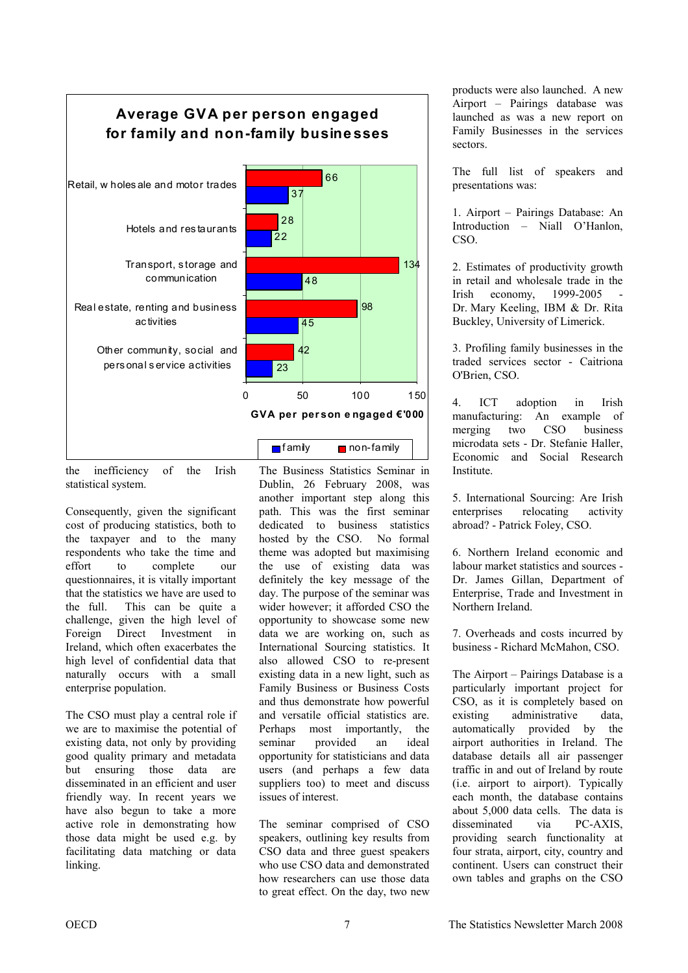

the inefficiency of the Irish statistical system.

Consequently, given the significant cost of producing statistics, both to the taxpayer and to the many respondents who take the time and effort to complete our questionnaires, it is vitally important that the statistics we have are used to the full. This can be quite a challenge, given the high level of Foreign Direct Investment in Ireland, which often exacerbates the high level of confidential data that naturally occurs with a small enterprise population.

The CSO must play a central role if we are to maximise the potential of existing data, not only by providing good quality primary and metadata but ensuring those data are disseminated in an efficient and user friendly way. In recent years we have also begun to take a more active role in demonstrating how those data might be used e.g. by facilitating data matching or data linking.

The Business Statistics Seminar in Dublin, 26 February 2008, was another important step along this path. This was the first seminar dedicated to business statistics hosted by the CSO. No formal theme was adopted but maximising the use of existing data was definitely the key message of the day. The purpose of the seminar was wider however; it afforded CSO the opportunity to showcase some new data we are working on, such as International Sourcing statistics. It also allowed CSO to re-present existing data in a new light, such as Family Business or Business Costs and thus demonstrate how powerful and versatile official statistics are. Perhaps most importantly, the seminar provided an ideal opportunity for statisticians and data users (and perhaps a few data suppliers too) to meet and discuss issues of interest.

The seminar comprised of CSO speakers, outlining key results from CSO data and three guest speakers who use CSO data and demonstrated how researchers can use those data to great effect. On the day, two new

products were also launched. A new Airport – Pairings database was launched as was a new report on Family Businesses in the services sectors.

The full list of speakers and presentations was:

1. Airport – Pairings Database: An Introduction – Niall O'Hanlon, CSO.

2. Estimates of productivity growth in retail and wholesale trade in the  $Irish$  economy,  $1999-2005$ Dr. Mary Keeling, IBM & Dr. Rita Buckley, University of Limerick.

3. Profiling family businesses in the traded services sector - Caitriona O'Brien, CSO.

4. ICT adoption in Irish manufacturing: An example of merging two CSO business microdata sets - Dr. Stefanie Haller, Economic and Social Research **Institute** 

5. International Sourcing: Are Irish enterprises relocating activity abroad? - Patrick Foley, CSO.

6. Northern Ireland economic and labour market statistics and sources - Dr. James Gillan, Department of Enterprise, Trade and Investment in Northern Ireland.

7. Overheads and costs incurred by business - Richard McMahon, CSO.

The Airport – Pairings Database is a particularly important project for CSO, as it is completely based on existing administrative data, automatically provided by the airport authorities in Ireland. The database details all air passenger traffic in and out of Ireland by route (i.e. airport to airport). Typically each month, the database contains about 5,000 data cells. The data is disseminated via PC-AXIS, providing search functionality at four strata, airport, city, country and continent. Users can construct their own tables and graphs on the CSO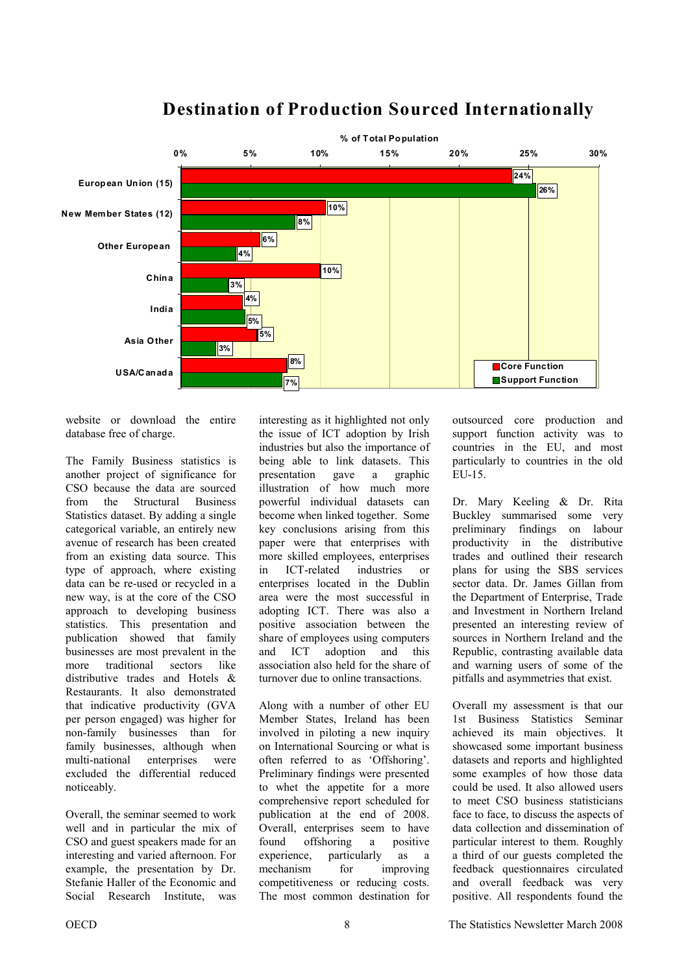

## **Destination of Production Sourced Internationally**

website or download the entire database free of charge.

The Family Business statistics is another project of significance for CSO because the data are sourced from the Structural Business Statistics dataset. By adding a single categorical variable, an entirely new avenue of research has been created from an existing data source. This type of approach, where existing data can be re-used or recycled in a new way, is at the core of the CSO approach to developing business statistics. This presentation and publication showed that family businesses are most prevalent in the more traditional sectors like distributive trades and Hotels & Restaurants. It also demonstrated that indicative productivity (GVA per person engaged) was higher for non-family businesses than for family businesses, although when multi-national enterprises were excluded the differential reduced noticeably.

Overall, the seminar seemed to work well and in particular the mix of CSO and guest speakers made for an interesting and varied afternoon. For example, the presentation by Dr. Stefanie Haller of the Economic and Social Research Institute, was

interesting as it highlighted not only the issue of ICT adoption by Irish industries but also the importance of being able to link datasets. This presentation gave a graphic illustration of how much more powerful individual datasets can become when linked together. Some key conclusions arising from this paper were that enterprises with more skilled employees, enterprises in ICT-related industries or enterprises located in the Dublin area were the most successful in adopting ICT. There was also a positive association between the share of employees using computers and ICT adoption and this association also held for the share of turnover due to online transactions.

Along with a number of other EU Member States, Ireland has been involved in piloting a new inquiry on International Sourcing or what is often referred to as 'Offshoring'. Preliminary findings were presented to whet the appetite for a more comprehensive report scheduled for publication at the end of 2008. Overall, enterprises seem to have found offshoring a positive experience, particularly as a mechanism for improving competitiveness or reducing costs. The most common destination for

outsourced core production and support function activity was to countries in the EU, and most particularly to countries in the old EU-15.

Dr. Mary Keeling & Dr. Rita Buckley summarised some very preliminary findings on labour productivity in the distributive trades and outlined their research plans for using the SBS services sector data. Dr. James Gillan from the Department of Enterprise, Trade and Investment in Northern Ireland presented an interesting review of sources in Northern Ireland and the Republic, contrasting available data and warning users of some of the pitfalls and asymmetries that exist.

Overall my assessment is that our 1st Business Statistics Seminar achieved its main objectives. It showcased some important business datasets and reports and highlighted some examples of how those data could be used. It also allowed users to meet CSO business statisticians face to face, to discuss the aspects of data collection and dissemination of particular interest to them. Roughly a third of our guests completed the feedback questionnaires circulated and overall feedback was very positive. All respondents found the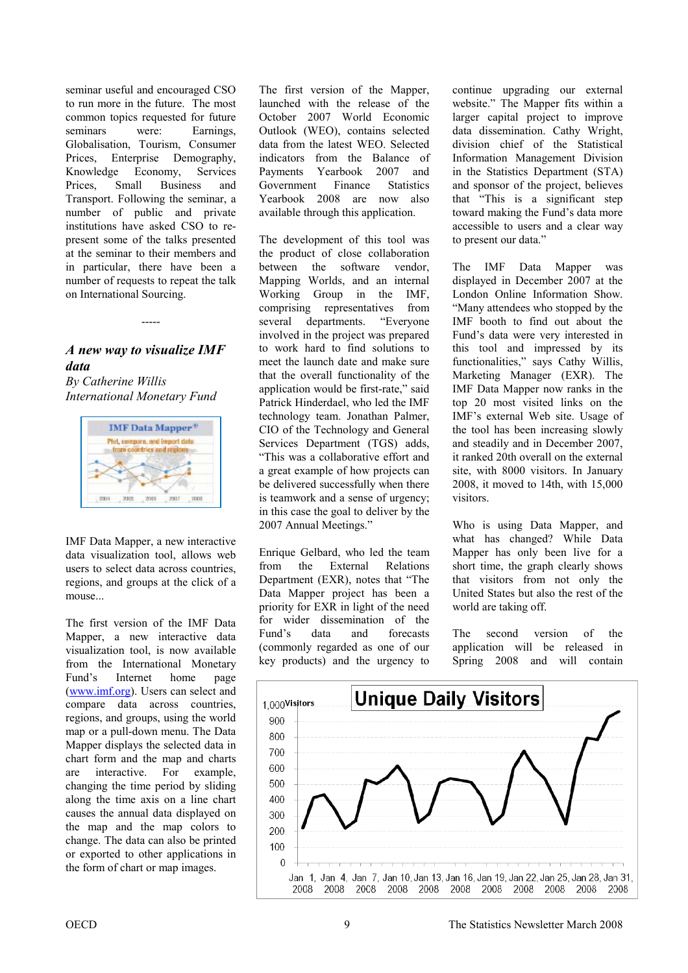<span id="page-8-0"></span>seminar useful and encouraged CSO to run more in the future. The most common topics requested for future seminars were: Earnings, Globalisation, Tourism, Consumer Prices, Enterprise Demography, Knowledge Economy, Services Prices, Small Business and Transport. Following the seminar, a number of public and private institutions have asked CSO to represent some of the talks presented at the seminar to their members and in particular, there have been a number of requests to repeat the talk on International Sourcing.

### *A new way to visualize IMF data*

-----

*By Catherine Willis International Monetary Fund* 



IMF Data Mapper, a new interactive data visualization tool, allows web users to select data across countries, regions, and groups at the click of a mouse...

The first version of the IMF Data Mapper, a new interactive data visualization tool, is now available from the International Monetary Fund's Internet home page [\(www.imf.org\)](www.imf.org). Users can select and compare data across countries, regions, and groups, using the world map or a pull-down menu. The Data Mapper displays the selected data in chart form and the map and charts are interactive. For example, changing the time period by sliding along the time axis on a line chart causes the annual data displayed on the map and the map colors to change. The data can also be printed or exported to other applications in the form of chart or map images.

The first version of the Mapper, launched with the release of the October 2007 World Economic Outlook (WEO), contains selected data from the latest WEO. Selected indicators from the Balance of Payments Yearbook 2007 and Government Finance Statistics Yearbook 2008 are now also available through this application.

The development of this tool was the product of close collaboration between the software vendor, Mapping Worlds, and an internal Working Group in the IMF, comprising representatives from several departments. "Everyone involved in the project was prepared to work hard to find solutions to meet the launch date and make sure that the overall functionality of the application would be first-rate," said Patrick Hinderdael, who led the IMF technology team. Jonathan Palmer, CIO of the Technology and General Services Department (TGS) adds, "This was a collaborative effort and a great example of how projects can be delivered successfully when there is teamwork and a sense of urgency; in this case the goal to deliver by the 2007 Annual Meetings."

Enrique Gelbard, who led the team from the External Relations Department (EXR), notes that "The Data Mapper project has been a priority for EXR in light of the need for wider dissemination of the Fund's data and forecasts (commonly regarded as one of our key products) and the urgency to continue upgrading our external website." The Mapper fits within a larger capital project to improve data dissemination. Cathy Wright, division chief of the Statistical Information Management Division in the Statistics Department (STA) and sponsor of the project, believes that "This is a significant step toward making the Fund's data more accessible to users and a clear way to present our data."

The IMF Data Mapper was displayed in December 2007 at the London Online Information Show. "Many attendees who stopped by the IMF booth to find out about the Fund's data were very interested in this tool and impressed by its functionalities," says Cathy Willis, Marketing Manager (EXR). The IMF Data Mapper now ranks in the top 20 most visited links on the IMF's external Web site. Usage of the tool has been increasing slowly and steadily and in December 2007, it ranked 20th overall on the external site, with 8000 visitors. In January 2008, it moved to 14th, with 15,000 visitors.

Who is using Data Mapper, and what has changed? While Data Mapper has only been live for a short time, the graph clearly shows that visitors from not only the United States but also the rest of the world are taking off.

The second version of the application will be released in Spring 2008 and will contain

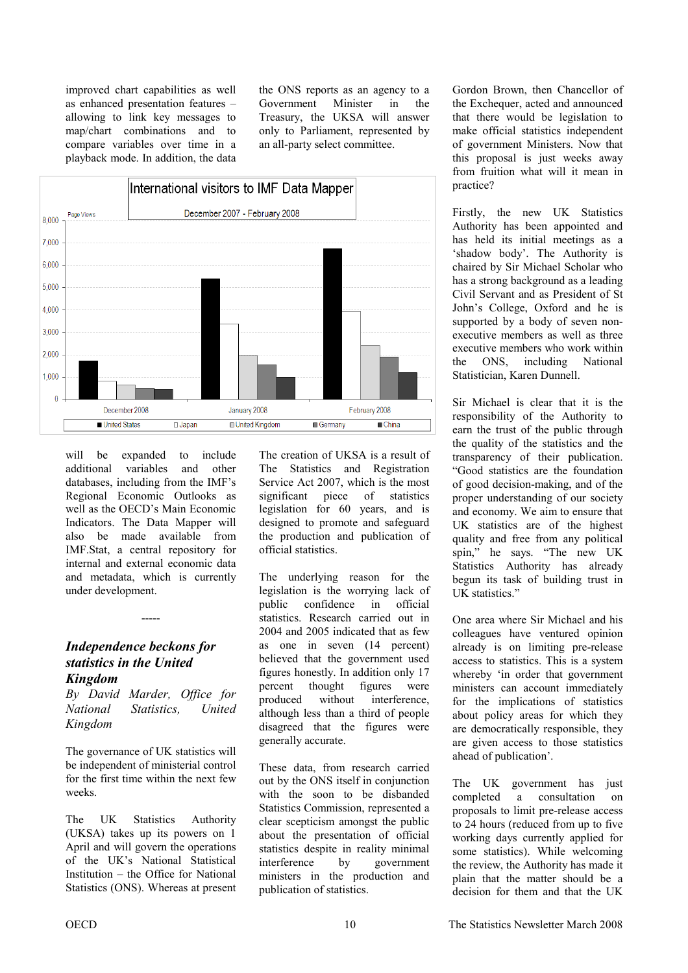<span id="page-9-0"></span>improved chart capabilities as well as enhanced presentation features – allowing to link key messages to map/chart combinations and to compare variables over time in a playback mode. In addition, the data the ONS reports as an agency to a Government Minister in the Treasury, the UKSA will answer only to Parliament, represented by an all-party select committee.



will be expanded to include additional variables and other databases, including from the IMF's Regional Economic Outlooks as well as the OECD's Main Economic Indicators. The Data Mapper will also be made available from IMF.Stat, a central repository for internal and external economic data and metadata, which is currently under development.

### *Independence beckons for statistics in the United Kingdom*

*By David Marder, Office for National Statistics, United Kingdom* 

-----

The governance of UK statistics will be independent of ministerial control for the first time within the next few weeks.

The UK Statistics Authority (UKSA) takes up its powers on 1 April and will govern the operations of the UK's National Statistical Institution – the Office for National Statistics (ONS). Whereas at present

The creation of UKSA is a result of The Statistics and Registration Service Act 2007, which is the most significant piece of statistics legislation for 60 years, and is designed to promote and safeguard the production and publication of official statistics.

The underlying reason for the legislation is the worrying lack of public confidence in official statistics. Research carried out in 2004 and 2005 indicated that as few as one in seven (14 percent) believed that the government used figures honestly. In addition only 17 percent thought figures were produced without interference, although less than a third of people disagreed that the figures were generally accurate.

These data, from research carried out by the ONS itself in conjunction with the soon to be disbanded Statistics Commission, represented a clear scepticism amongst the public about the presentation of official statistics despite in reality minimal interference by government ministers in the production and publication of statistics.

Gordon Brown, then Chancellor of the Exchequer, acted and announced that there would be legislation to make official statistics independent of government Ministers. Now that this proposal is just weeks away from fruition what will it mean in practice?

Firstly, the new UK Statistics Authority has been appointed and has held its initial meetings as a 'shadow body'. The Authority is chaired by Sir Michael Scholar who has a strong background as a leading Civil Servant and as President of St John's College, Oxford and he is supported by a body of seven nonexecutive members as well as three executive members who work within the ONS, including National Statistician, Karen Dunnell.

Sir Michael is clear that it is the responsibility of the Authority to earn the trust of the public through the quality of the statistics and the transparency of their publication. "Good statistics are the foundation of good decision-making, and of the proper understanding of our society and economy. We aim to ensure that UK statistics are of the highest quality and free from any political spin," he says. "The new UK Statistics Authority has already begun its task of building trust in UK statistics."

One area where Sir Michael and his colleagues have ventured opinion already is on limiting pre-release access to statistics. This is a system whereby 'in order that government ministers can account immediately for the implications of statistics about policy areas for which they are democratically responsible, they are given access to those statistics ahead of publication'.

The UK government has just completed a consultation on proposals to limit pre-release access to 24 hours (reduced from up to five working days currently applied for some statistics). While welcoming the review, the Authority has made it plain that the matter should be a decision for them and that the UK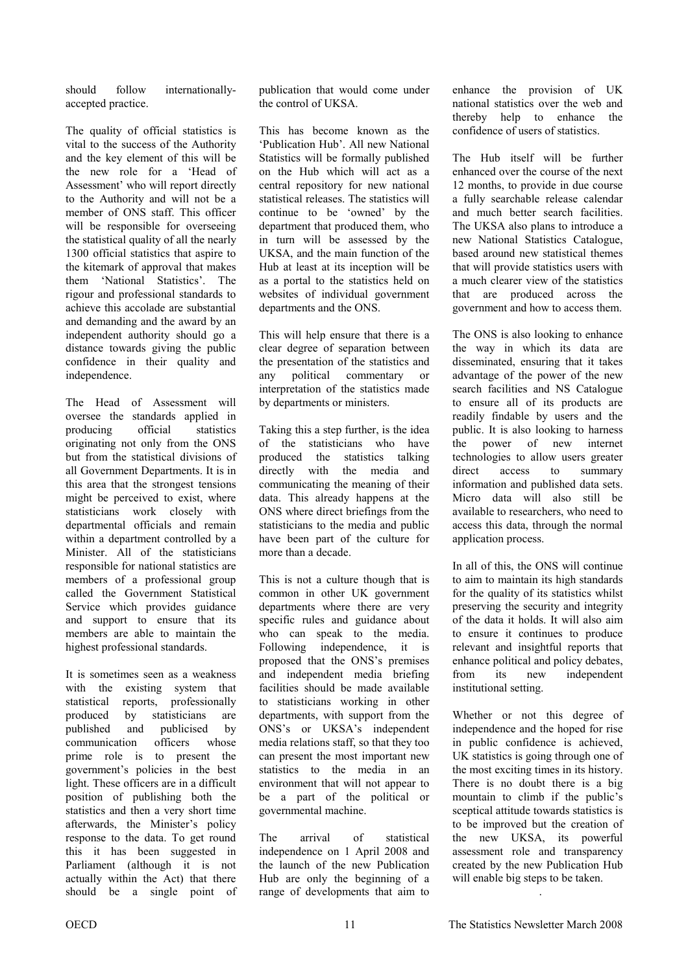should follow internationallyaccepted practice.

The quality of official statistics is vital to the success of the Authority and the key element of this will be the new role for a 'Head of Assessment' who will report directly to the Authority and will not be a member of ONS staff. This officer will be responsible for overseeing the statistical quality of all the nearly 1300 official statistics that aspire to the kitemark of approval that makes them 'National Statistics'. The rigour and professional standards to achieve this accolade are substantial and demanding and the award by an independent authority should go a distance towards giving the public confidence in their quality and independence.

The Head of Assessment will oversee the standards applied in producing official statistics originating not only from the ONS but from the statistical divisions of all Government Departments. It is in this area that the strongest tensions might be perceived to exist, where statisticians work closely with departmental officials and remain within a department controlled by a Minister. All of the statisticians responsible for national statistics are members of a professional group called the Government Statistical Service which provides guidance and support to ensure that its members are able to maintain the highest professional standards.

It is sometimes seen as a weakness with the existing system that statistical reports, professionally produced by statisticians are published and publicised by communication officers whose prime role is to present the government's policies in the best light. These officers are in a difficult position of publishing both the statistics and then a very short time afterwards, the Minister's policy response to the data. To get round this it has been suggested in Parliament (although it is not actually within the Act) that there should be a single point of

publication that would come under the control of UKSA.

This has become known as the 'Publication Hub'. All new National Statistics will be formally published on the Hub which will act as a central repository for new national statistical releases. The statistics will continue to be 'owned' by the department that produced them, who in turn will be assessed by the UKSA, and the main function of the Hub at least at its inception will be as a portal to the statistics held on websites of individual government departments and the ONS.

This will help ensure that there is a clear degree of separation between the presentation of the statistics and any political commentary or interpretation of the statistics made by departments or ministers.

Taking this a step further, is the idea of the statisticians who have produced the statistics talking directly with the media and communicating the meaning of their data. This already happens at the ONS where direct briefings from the statisticians to the media and public have been part of the culture for more than a decade.

This is not a culture though that is common in other UK government departments where there are very specific rules and guidance about who can speak to the media. Following independence, it is proposed that the ONS's premises and independent media briefing facilities should be made available to statisticians working in other departments, with support from the ONS's or UKSA's independent media relations staff, so that they too can present the most important new statistics to the media in an environment that will not appear to be a part of the political or governmental machine.

The arrival of statistical independence on 1 April 2008 and the launch of the new Publication Hub are only the beginning of a range of developments that aim to

enhance the provision of UK national statistics over the web and thereby help to enhance the confidence of users of statistics.

The Hub itself will be further enhanced over the course of the next 12 months, to provide in due course a fully searchable release calendar and much better search facilities. The UKSA also plans to introduce a new National Statistics Catalogue, based around new statistical themes that will provide statistics users with a much clearer view of the statistics that are produced across the government and how to access them.

The ONS is also looking to enhance the way in which its data are disseminated, ensuring that it takes advantage of the power of the new search facilities and NS Catalogue to ensure all of its products are readily findable by users and the public. It is also looking to harness the power of new internet technologies to allow users greater direct access to summary information and published data sets. Micro data will also still be available to researchers, who need to access this data, through the normal application process.

In all of this, the ONS will continue to aim to maintain its high standards for the quality of its statistics whilst preserving the security and integrity of the data it holds. It will also aim to ensure it continues to produce relevant and insightful reports that enhance political and policy debates, from its new independent institutional setting.

Whether or not this degree of independence and the hoped for rise in public confidence is achieved, UK statistics is going through one of the most exciting times in its history. There is no doubt there is a big mountain to climb if the public's sceptical attitude towards statistics is to be improved but the creation of the new UKSA, its powerful assessment role and transparency created by the new Publication Hub will enable big steps to be taken.

.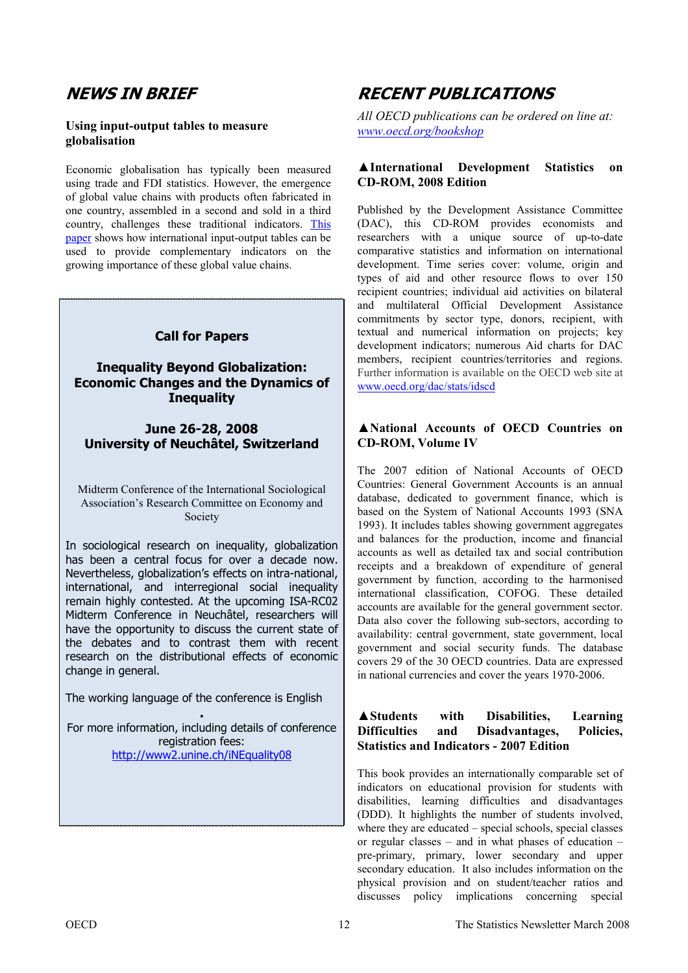## **NEWS IN BRIEF**

### **Using input-output tables to measure globalisation**

Economic globalisation has typically been measured using trade and FDI statistics. However, the emergence of global value chains with products often fabricated in one country, assembled in a second and sold in a third country, challenges these traditional indicators. [This](http://www.oecd.org/dataoecd/41/18/39936529.pdf)  [paper s](http://www.oecd.org/dataoecd/41/18/39936529.pdf)hows how international input-output tables can be used to provide complementary indicators on the growing importance of these global value chains.

### **Call for Papers**

### **Inequality Beyond Globalization: Economic Changes and the Dynamics of Inequality**

**June 26-28, 2008 University of Neuchâtel, Switzerland** 

Midterm Conference of the International Sociological Association's Research Committee on Economy and Society

In sociological research on inequality, globalization has been a central focus for over a decade now. Nevertheless, globalization's effects on intra-national, international, and interregional social inequality remain highly contested. At the upcoming ISA-RC02 Midterm Conference in Neuchâtel, researchers will have the opportunity to discuss the current state of the debates and to contrast them with recent research on the distributional effects of economic change in general.

The working language of the conference is English

**.**  For more information, including details of conference registration fees: http://www2.unine.ch/iNEquality08

## **RECENT PUBLICATIONS**

*All OECD publications can be ordered on line at: www.oecd.org/bookshop*

### **▲International Development Statistics on CD-ROM, 2008 Edition**

Published by the Development Assistance Committee (DAC), this CD-ROM provides economists and researchers with a unique source of up-to-date comparative statistics and information on international development. Time series cover: volume, origin and types of aid and other resource flows to over 150 recipient countries; individual aid activities on bilateral and multilateral Official Development Assistance commitments by sector type, donors, recipient, with textual and numerical information on projects; key development indicators; numerous Aid charts for DAC members, recipient countries/territories and regions. Further information is available on the OECD web site at www.oecd.org/dac/stats/idscd

### **▲National Accounts of OECD Countries on CD-ROM, Volume IV**

The 2007 edition of National Accounts of OECD Countries: General Government Accounts is an annual database, dedicated to government finance, which is based on the System of National Accounts 1993 (SNA 1993). It includes tables showing government aggregates and balances for the production, income and financial accounts as well as detailed tax and social contribution receipts and a breakdown of expenditure of general government by function, according to the harmonised international classification, COFOG. These detailed accounts are available for the general government sector. Data also cover the following sub-sectors, according to availability: central government, state government, local government and social security funds. The database covers 29 of the 30 OECD countries. Data are expressed in national currencies and cover the years 1970-2006.

### **▲Students with Disabilities, Learning Difficulties and Disadvantages, Policies, Statistics and Indicators - 2007 Edition**

This book provides an internationally comparable set of indicators on educational provision for students with disabilities, learning difficulties and disadvantages (DDD). It highlights the number of students involved, where they are educated – special schools, special classes or regular classes – and in what phases of education – pre-primary, primary, lower secondary and upper secondary education. It also includes information on the physical provision and on student/teacher ratios and discusses policy implications concerning special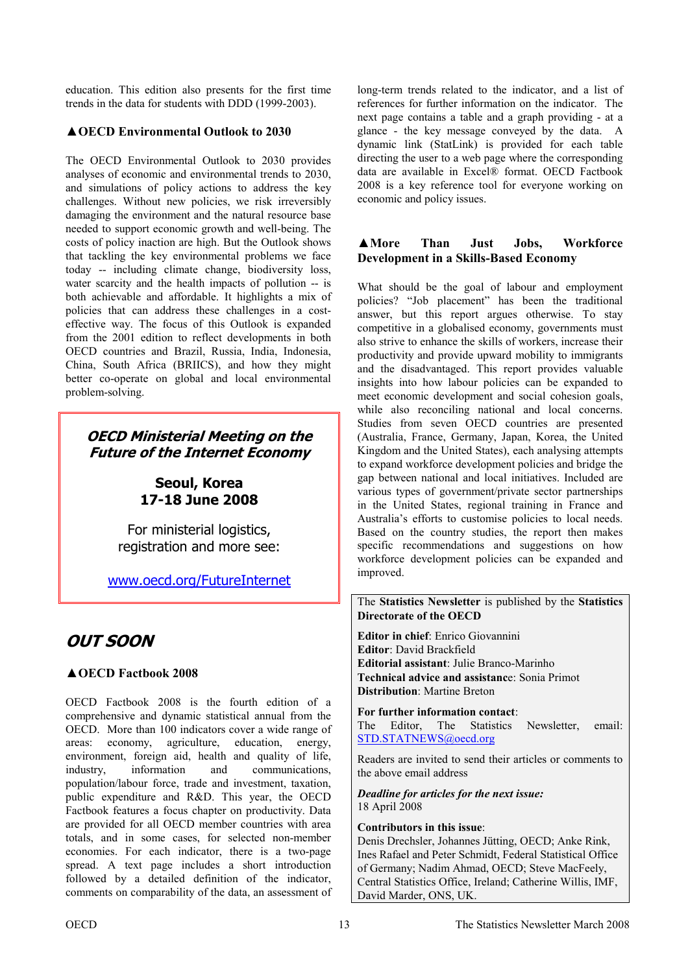education. This edition also presents for the first time trends in the data for students with DDD (1999-2003).

### **▲OECD Environmental Outlook to 2030**

The OECD Environmental Outlook to 2030 provides analyses of economic and environmental trends to 2030, and simulations of policy actions to address the key challenges. Without new policies, we risk irreversibly damaging the environment and the natural resource base needed to support economic growth and well-being. The costs of policy inaction are high. But the Outlook shows that tackling the key environmental problems we face today -- including climate change, biodiversity loss, water scarcity and the health impacts of pollution -- is both achievable and affordable. It highlights a mix of policies that can address these challenges in a costeffective way. The focus of this Outlook is expanded from the 2001 edition to reflect developments in both OECD countries and Brazil, Russia, India, Indonesia, China, South Africa (BRIICS), and how they might better co-operate on global and local environmental problem-solving.

## **OECD Ministerial Meeting on the Future of the Internet Economy**

## **Seoul, Korea 17-18 June 2008**

For ministerial logistics, registration and more see:

<www.oecd.org/FutureInternet>

## **OUT SOON**

### **▲OECD Factbook 2008**

OECD Factbook 2008 is the fourth edition of a comprehensive and dynamic statistical annual from the OECD. More than 100 indicators cover a wide range of areas: economy, agriculture, education, energy, environment, foreign aid, health and quality of life, industry, information and communications, population/labour force, trade and investment, taxation, public expenditure and R&D. This year, the OECD Factbook features a focus chapter on productivity. Data are provided for all OECD member countries with area totals, and in some cases, for selected non-member economies. For each indicator, there is a two-page spread. A text page includes a short introduction followed by a detailed definition of the indicator, comments on comparability of the data, an assessment of

long-term trends related to the indicator, and a list of references for further information on the indicator. The next page contains a table and a graph providing - at a glance - the key message conveyed by the data. A dynamic link (StatLink) is provided for each table directing the user to a web page where the corresponding data are available in Excel® format. OECD Factbook 2008 is a key reference tool for everyone working on economic and policy issues.

### **▲More Than Just Jobs, Workforce Development in a Skills-Based Economy**

What should be the goal of labour and employment policies? "Job placement" has been the traditional answer, but this report argues otherwise. To stay competitive in a globalised economy, governments must also strive to enhance the skills of workers, increase their productivity and provide upward mobility to immigrants and the disadvantaged. This report provides valuable insights into how labour policies can be expanded to meet economic development and social cohesion goals, while also reconciling national and local concerns. Studies from seven OECD countries are presented (Australia, France, Germany, Japan, Korea, the United Kingdom and the United States), each analysing attempts to expand workforce development policies and bridge the gap between national and local initiatives. Included are various types of government/private sector partnerships in the United States, regional training in France and Australia's efforts to customise policies to local needs. Based on the country studies, the report then makes specific recommendations and suggestions on how workforce development policies can be expanded and improved.

The **Statistics Newsletter** is published by the **Statistics Directorate of the OECD** 

**Editor in chief**: Enrico Giovannini **Editor**: David Brackfield **Editorial assistant**: Julie Branco-Marinho **Technical advice and assistanc**e: Sonia Primot **Distribution**: Martine Breton

**For further information contact**:

The Editor, The Statistics Newsletter, email: [STD.STATNEWS@oecd.org](mailto:STD.STATNEWS@oecd.org) 

Readers are invited to send their articles or comments to the above email address

#### *Deadline for articles for the next issue:*  18 April 2008

### **Contributors in this issue**:

Denis Drechsler, Johannes Jütting, OECD; Anke Rink, Ines Rafael and Peter Schmidt, Federal Statistical Office of Germany; Nadim Ahmad, OECD; Steve MacFeely, Central Statistics Office, Ireland; Catherine Willis, IMF, David Marder, ONS, UK.